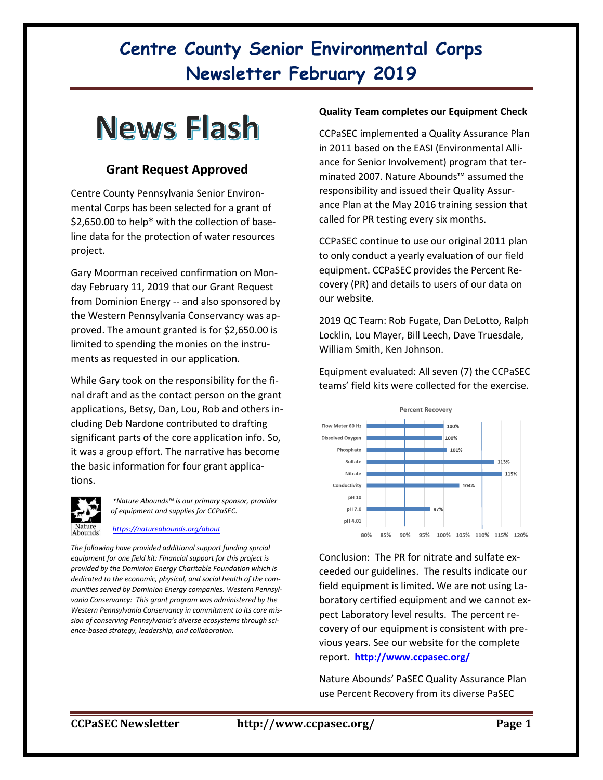# **Centre County Senior Environmental Corps Newsletter February 2019**

# **News Flash**

## **Grant Request Approved**

Centre County Pennsylvania Senior Environmental Corps has been selected for a grant of \$2,650.00 to help\* with the collection of baseline data for the protection of water resources project.

Gary Moorman received confirmation on Monday February 11, 2019 that our Grant Request from Dominion Energy -- and also sponsored by the Western Pennsylvania Conservancy was approved. The amount granted is for \$2,650.00 is limited to spending the monies on the instruments as requested in our application.

While Gary took on the responsibility for the final draft and as the contact person on the grant applications, Betsy, Dan, Lou, Rob and others including Deb Nardone contributed to drafting significant parts of the core application info. So, it was a group effort. The narrative has become the basic information for four grant applications.



*\*Nature Abounds™ is our primary sponsor, provider of equipment and supplies for CCPaSEC.*

#### *<https://natureabounds.org/about>*

*The following have provided additional support funding sprcial equipment for one field kit: Financial support for this project is provided by the Dominion Energy Charitable Foundation which is dedicated to the economic, physical, and social health of the communities served by Dominion Energy companies. Western Pennsylvania Conservancy: This grant program was administered by the Western Pennsylvania Conservancy in commitment to its core mission of conserving Pennsylvania's diverse ecosystems through science-based strategy, leadership, and collaboration.*

#### **Quality Team completes our Equipment Check**

CCPaSEC implemented a Quality Assurance Plan in 2011 based on the EASI (Environmental Alliance for Senior Involvement) program that terminated 2007. Nature Abounds™ assumed the responsibility and issued their Quality Assurance Plan at the May 2016 training session that called for PR testing every six months.

CCPaSEC continue to use our original 2011 plan to only conduct a yearly evaluation of our field equipment. CCPaSEC provides the Percent Recovery (PR) and details to users of our data on our website.

2019 QC Team: Rob Fugate, Dan DeLotto, Ralph Locklin, Lou Mayer, Bill Leech, Dave Truesdale, William Smith, Ken Johnson.

Equipment evaluated: All seven (7) the CCPaSEC teams' field kits were collected for the exercise.



Conclusion: The PR for nitrate and sulfate exceeded our guidelines. The results indicate our field equipment is limited. We are not using Laboratory certified equipment and we cannot expect Laboratory level results. The percent recovery of our equipment is consistent with previous years. See our website for the complete report. **<http://www.ccpasec.org/>**

Nature Abounds' PaSEC Quality Assurance Plan use Percent Recovery from its diverse PaSEC